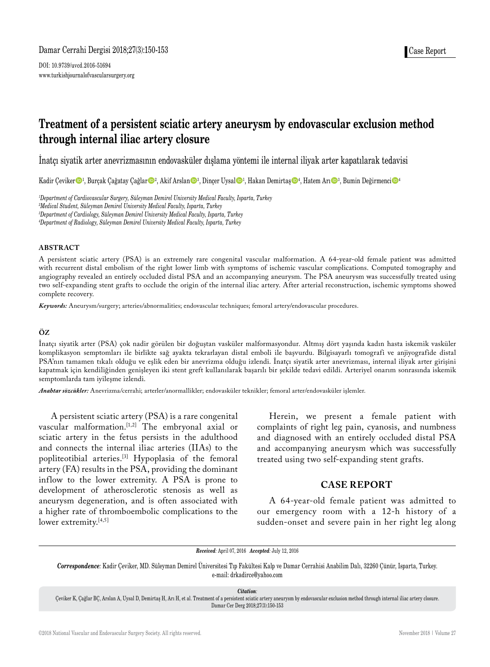DOI: 10.9739/uvcd.2016-51694 www.turkishjournalofvascularsurgery.org

# **Treatment of a persistent sciatic artery aneurysm by endovascular exclusion method through internal iliac artery closure**

İnatçı siyatik arter anevrizmasının endovasküler dışlama yöntemi ile internal iliyak arter kapatılarak tedavisi

Kadir Çeviker $\mathbf{O}^1$ , Burçak Çağatay Çağlar $\mathbf{O}^2$ , Akif Arslan $\mathbf{O}^3$ , Dinçer Uysal $\mathbf{O}^1$ , Hakan Demirtaş $\mathbf{O}^4$ , Hatem Arı $\mathbf{O}^3$ , Bumin Değirmenci $\mathbf{O}^4$ 

*1 Department of Cardiovascular Surgery, Süleyman Demirel University Medical Faculty, Isparta, Turkey*

*2 Medical Student, Süleyman Demirel University Medical Faculty, Isparta, Turkey*

*3 Department of Cardiology, Süleyman Demirel University Medical Faculty, Isparta, Turkey*

*4 Department of Radiology, Süleyman Demirel University Medical Faculty, Isparta, Turkey*

## **ABSTRACT**

A persistent sciatic artery (PSA) is an extremely rare congenital vascular malformation. A 64-year-old female patient was admitted with recurrent distal embolism of the right lower limb with symptoms of ischemic vascular complications. Computed tomography and angiography revealed an entirely occluded distal PSA and an accompanying aneurysm. The PSA aneurysm was successfully treated using two self-expanding stent grafts to occlude the origin of the internal iliac artery. After arterial reconstruction, ischemic symptoms showed complete recovery.

*Keywords:* Aneurysm/surgery; arteries/abnormalities; endovascular techniques; femoral artery/endovascular procedures.

## **ÖZ**

İnatçı siyatik arter (PSA) çok nadir görülen bir doğuştan vasküler malformasyondur. Altmış dört yaşında kadın hasta iskemik vasküler komplikasyon semptomları ile birlikte sağ ayakta tekrarlayan distal emboli ile başvurdu. Bilgisayarlı tomografi ve anjiyografide distal PSA'nın tamamen tıkalı olduğu ve eşlik eden bir anevrizma olduğu izlendi. İnatçı siyatik arter anevrizması, internal iliyak arter girişini kapatmak için kendiliğinden genişleyen iki stent greft kullanılarak başarılı bir şekilde tedavi edildi. Arteriyel onarım sonrasında iskemik semptomlarda tam iyileşme izlendi.

*Anahtar sözcükler:* Anevrizma/cerrahi; arterler/anormallikler; endovasküler teknikler; femoral arter/endovasküler işlemler.

A persistent sciatic artery (PSA) is a rare congenital vascular malformation.[1,2] The embryonal axial or sciatic artery in the fetus persists in the adulthood and connects the internal iliac arteries (IIAs) to the popliteotibial arteries.[3] Hypoplasia of the femoral artery (FA) results in the PSA, providing the dominant inflow to the lower extremity. A PSA is prone to development of atherosclerotic stenosis as well as aneurysm degeneration, and is often associated with a higher rate of thromboembolic complications to the lower extremity.<sup>[4,5]</sup>

Herein, we present a female patient with complaints of right leg pain, cyanosis, and numbness and diagnosed with an entirely occluded distal PSA and accompanying aneurysm which was successfully treated using two self-expanding stent grafts.

## **CASE REPORT**

A 64-year-old female patient was admitted to our emergency room with a 12-h history of a sudden-onset and severe pain in her right leg along

*Received:* April 07, 2016 *Accepted:* July 12, 2016

*Correspondence:* Kadir Çeviker, MD. Süleyman Demirel Üniversitesi Tıp Fakültesi Kalp ve Damar Cerrahisi Anabilim Dalı, 32260 Çünür, Isparta, Turkey. e-mail: drkadirce@yahoo.com

*Citation:*

Çeviker K, Çağlar BÇ, Arslan A, Uysal D, Demirtaş H, Arı H, et al. Treatment of a persistent sciatic artery aneurysm by endovascular exclusion method through internal iliac artery closure. Damar Cer Derg 2018;27(3):150-153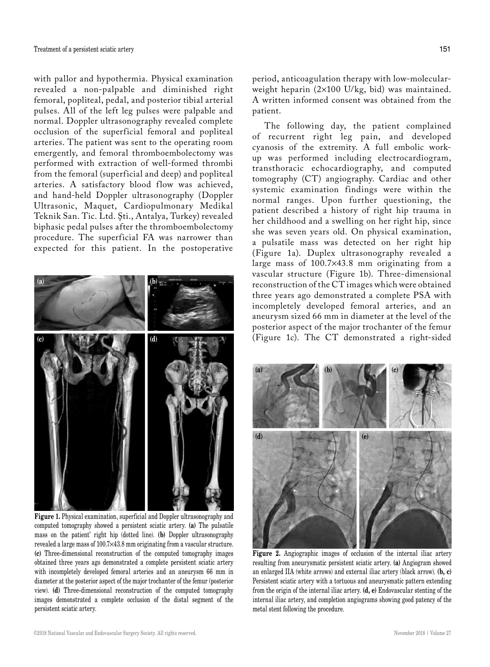with pallor and hypothermia. Physical examination revealed a non-palpable and diminished right femoral, popliteal, pedal, and posterior tibial arterial pulses. All of the left leg pulses were palpable and normal. Doppler ultrasonography revealed complete occlusion of the superficial femoral and popliteal arteries. The patient was sent to the operating room emergently, and femoral thromboembolectomy was performed with extraction of well-formed thrombi from the femoral (superficial and deep) and popliteal arteries. A satisfactory blood flow was achieved, and hand-held Doppler ultrasonography (Doppler Ultrasonic, Maquet, Cardiopulmonary Medikal Teknik San. Tic. Ltd. Şti., Antalya, Turkey) revealed biphasic pedal pulses after the thromboembolectomy procedure. The superficial FA was narrower than expected for this patient. In the postoperative



**Figure 1.** Physical examination, superficial and Doppler ultrasonography and computed tomography showed a persistent sciatic artery. **(a)** The pulsatile mass on the patient' right hip (dotted line). **(b)** Doppler ultrasonography revealed a large mass of 100.7×43.8 mm originating from a vascular structure. **(c)** Three-dimensional reconstruction of the computed tomography images obtained three years ago demonstrated a complete persistent sciatic artery with incompletely developed femoral arteries and an aneurysm 66 mm in diameter at the posterior aspect of the major trochanter of the femur (posterior view). **(d)** Three-dimensional reconstruction of the computed tomography images demonstrated a complete occlusion of the distal segment of the persistent sciatic artery.

period, anticoagulation therapy with low-molecularweight heparin (2¥100 U/kg, bid) was maintained. A written informed consent was obtained from the patient.

The following day, the patient complained of recurrent right leg pain, and developed cyanosis of the extremity. A full embolic workup was performed including electrocardiogram, transthoracic echocardiography, and computed tomography (CT) angiography. Cardiac and other systemic examination findings were within the normal ranges. Upon further questioning, the patient described a history of right hip trauma in her childhood and a swelling on her right hip, since she was seven years old. On physical examination, a pulsatile mass was detected on her right hip (Figure 1a). Duplex ultrasonography revealed a large mass of 100.7¥43.8 mm originating from a vascular structure (Figure 1b). Three-dimensional reconstruction of the CT images which were obtained three years ago demonstrated a complete PSA with incompletely developed femoral arteries, and an aneurysm sized 66 mm in diameter at the level of the posterior aspect of the major trochanter of the femur (Figure 1c). The CT demonstrated a right-sided



**Figure 2.** Angiographic images of occlusion of the internal iliac artery resulting from aneurysmatic persistent sciatic artery. **(a)** Angiogram showed an enlarged IIA (white arrows) and external iliac artery (black arrow). **(b, c)** Persistent sciatic artery with a tortuous and aneurysmatic pattern extending from the origin of the internal iliac artery. **(d, e)** Endovascular stenting of the internal iliac artery, and completion angiograms showing good patency of the metal stent following the procedure.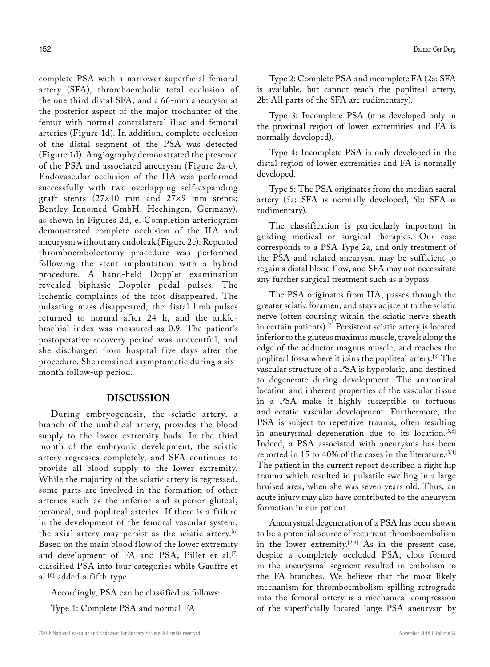complete PSA with a narrower superficial femoral artery (SFA), thromboembolic total occlusion of the one third distal SFA, and a 66-mm aneurysm at the posterior aspect of the major trochanter of the femur with normal contralateral iliac and femoral arteries (Figure 1d). In addition, complete occlusion of the distal segment of the PSA was detected (Figure 1d). Angiography demonstrated the presence of the PSA and associated aneurysm (Figure 2a-c). Endovascular occlusion of the IIA was performed successfully with two overlapping self-expanding graft stents  $(27\times10$  mm and  $27\times9$  mm stents; Bentley Innomed GmbH, Hechingen, Germany), as shown in Figures 2d, e. Completion arteriogram demonstrated complete occlusion of the IIA and aneurysm without any endoleak (Figure 2e). Repeated thromboembolectomy procedure was performed following the stent implantation with a hybrid procedure. A hand-held Doppler examination revealed biphasic Doppler pedal pulses. The ischemic complaints of the foot disappeared. The pulsating mass disappeared, the distal limb pulses returned to normal after 24 h, and the anklebrachial index was measured as 0.9. The patient's postoperative recovery period was uneventful, and she discharged from hospital five days after the procedure. She remained asymptomatic during a sixmonth follow-up period.

## **DISCUSSION**

During embryogenesis, the sciatic artery, a branch of the umbilical artery, provides the blood supply to the lower extremity buds. In the third month of the embryonic development, the sciatic artery regresses completely, and SFA continues to provide all blood supply to the lower extremity. While the majority of the sciatic artery is regressed, some parts are involved in the formation of other arteries such as the inferior and superior gluteal, peroneal, and popliteal arteries. If there is a failure in the development of the femoral vascular system, the axial artery may persist as the sciatic artery.<sup>[6]</sup> Based on the main blood flow of the lower extremity and development of FA and PSA, Pillet et al.<sup>[7]</sup> classified PSA into four categories while Gauffre et al.[8] added a fifth type.

Accordingly, PSA can be classified as follows:

Type 1: Complete PSA and normal FA

Type 2: Complete PSA and incomplete FA (2a: SFA is available, but cannot reach the popliteal artery, 2b: All parts of the SFA are rudimentary).

Type 3: Incomplete PSA (it is developed only in the proximal region of lower extremities and FA is normally developed).

Type 4: Incomplete PSA is only developed in the distal region of lower extremities and FA is normally developed.

Type 5: The PSA originates from the median sacral artery (5a: SFA is normally developed, 5b: SFA is rudimentary).

The classification is particularly important in guiding medical or surgical therapies. Our case corresponds to a PSA Type 2a, and only treatment of the PSA and related aneurysm may be sufficient to regain a distal blood flow, and SFA may not necessitate any further surgical treatment such as a bypass.

The PSA originates from IIA, passes through the greater sciatic foramen, and stays adjacent to the sciatic nerve (often coursing within the sciatic nerve sheath in certain patients).[3] Persistent sciatic artery is located inferior to the gluteus maximus muscle, travels along the edge of the adductor magnus muscle, and reaches the popliteal fossa where it joins the popliteal artery.[3] The vascular structure of a PSA is hypoplasic, and destined to degenerate during development. The anatomical location and inherent properties of the vascular tissue in a PSA make it highly susceptible to tortuous and ectatic vascular development. Furthermore, the PSA is subject to repetitive trauma, often resulting in aneurysmal degeneration due to its location.<sup>[3,6]</sup> Indeed, a PSA associated with aneurysms has been reported in 15 to 40% of the cases in the literature.<sup>[3,4]</sup> The patient in the current report described a right hip trauma which resulted in pulsatile swelling in a large bruised area, when she was seven years old. Thus, an acute injury may also have contributed to the aneurysm formation in our patient.

Aneurysmal degeneration of a PSA has been shown to be a potential source of recurrent thromboembolism in the lower extremity.<sup>[2,4]</sup> As in the present case, despite a completely occluded PSA, clots formed in the aneurysmal segment resulted in embolism to the FA branches. We believe that the most likely mechanism for thromboembolism spilling retrograde into the femoral artery is a mechanical compression of the superficially located large PSA aneurysm by